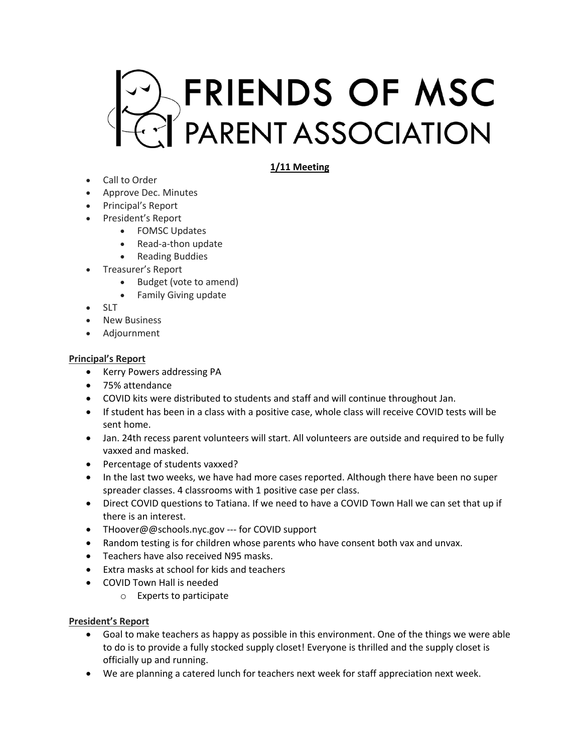

# **1/11 Meeting**

- Call to Order
- Approve Dec. Minutes
- Principal's Report
- President's Report
	- FOMSC Updates
		- Read-a-thon update
		- Reading Buddies
- Treasurer's Report
	- Budget (vote to amend)
	- Family Giving update
- SLT
- New Business
- Adjournment

### **Principal's Report**

- Kerry Powers addressing PA
- 75% attendance
- COVID kits were distributed to students and staff and will continue throughout Jan.
- If student has been in a class with a positive case, whole class will receive COVID tests will be sent home.
- Jan. 24th recess parent volunteers will start. All volunteers are outside and required to be fully vaxxed and masked.
- Percentage of students vaxxed?
- In the last two weeks, we have had more cases reported. Although there have been no super spreader classes. 4 classrooms with 1 positive case per class.
- Direct COVID questions to Tatiana. If we need to have a COVID Town Hall we can set that up if there is an interest.
- THoover@@schools.nyc.gov --- for COVID support
- Random testing is for children whose parents who have consent both vax and unvax.
- Teachers have also received N95 masks.
- Extra masks at school for kids and teachers
- COVID Town Hall is needed
	- o Experts to participate

### **President's Report**

- Goal to make teachers as happy as possible in this environment. One of the things we were able to do is to provide a fully stocked supply closet! Everyone is thrilled and the supply closet is officially up and running.
- We are planning a catered lunch for teachers next week for staff appreciation next week.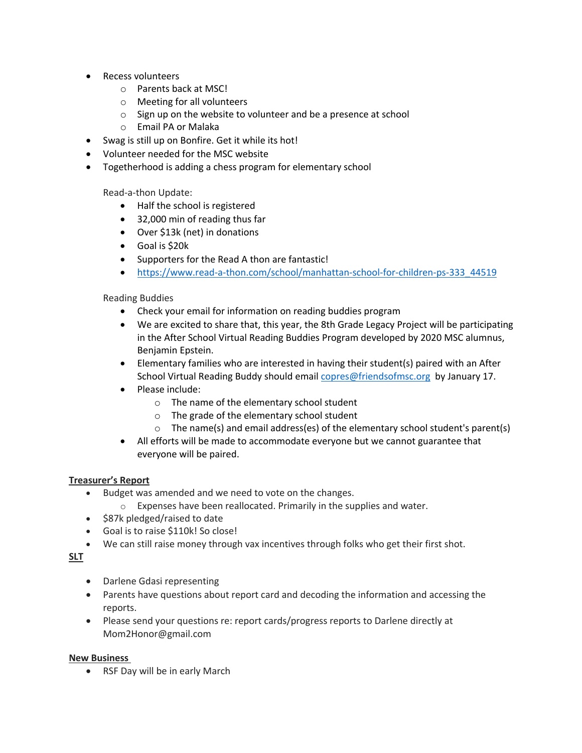- Recess volunteers
	- o Parents back at MSC!
	- o Meeting for all volunteers
	- o Sign up on the website to volunteer and be a presence at school
	- o Email PA or Malaka
- Swag is still up on Bonfire. Get it while its hot!
- Volunteer needed for the MSC website
- Togetherhood is adding a chess program for elementary school

Read-a-thon Update:

- Half the school is registered
- 32,000 min of reading thus far
- Over \$13k (net) in donations
- Goal is \$20k
- Supporters for the Read A thon are fantastic!
- https://www.read-a-thon.com/school/manhattan-school-for-children-ps-333\_44519

Reading Buddies

- Check your email for information on reading buddies program
- We are excited to share that, this year, the 8th Grade Legacy Project will be participating in the After School Virtual Reading Buddies Program developed by 2020 MSC alumnus, Benjamin Epstein.
- Elementary families who are interested in having their student(s) paired with an After School Virtual Reading Buddy should email copres@friendsofmsc.org by January 17.
- Please include:
	- o The name of the elementary school student
	- o The grade of the elementary school student
	- $\circ$  The name(s) and email address(es) of the elementary school student's parent(s)
- All efforts will be made to accommodate everyone but we cannot guarantee that everyone will be paired.

## **Treasurer's Report**

- Budget was amended and we need to vote on the changes.
	- o Expenses have been reallocated. Primarily in the supplies and water.
- \$87k pledged/raised to date
- Goal is to raise \$110k! So close!
- We can still raise money through vax incentives through folks who get their first shot.

**SLT**

- Darlene Gdasi representing
- Parents have questions about report card and decoding the information and accessing the reports.
- Please send your questions re: report cards/progress reports to Darlene directly at Mom2Honor@gmail.com

### **New Business**

• RSF Day will be in early March